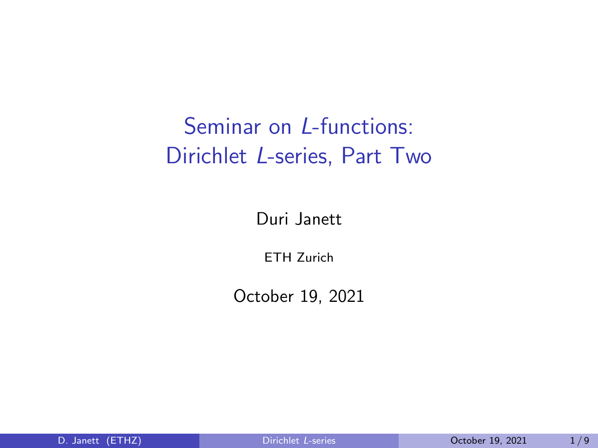# <span id="page-0-0"></span>Seminar on L-functions: Dirichlet L-series, Part Two

Duri Janett

ETH Zurich

October 19, 2021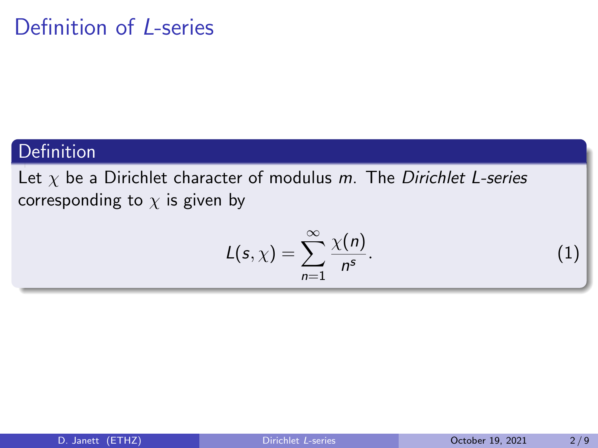# Definition of L-series

### Definition

Let  $\chi$  be a Dirichlet character of modulus m. The Dirichlet L-series corresponding to  $\chi$  is given by

$$
L(s,\chi)=\sum_{n=1}^{\infty}\frac{\chi(n)}{n^s}.
$$
 (1)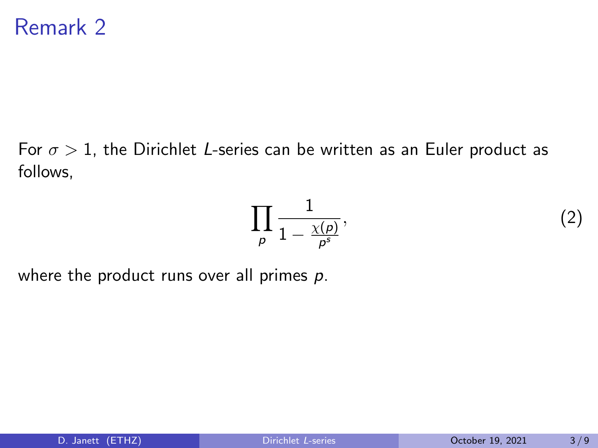For  $\sigma > 1$ , the Dirichlet L-series can be written as an Euler product as follows,

$$
\prod_{\rho} \frac{1}{1 - \frac{\chi(\rho)}{\rho^s}},\tag{2}
$$

where the product runs over all primes  $p$ .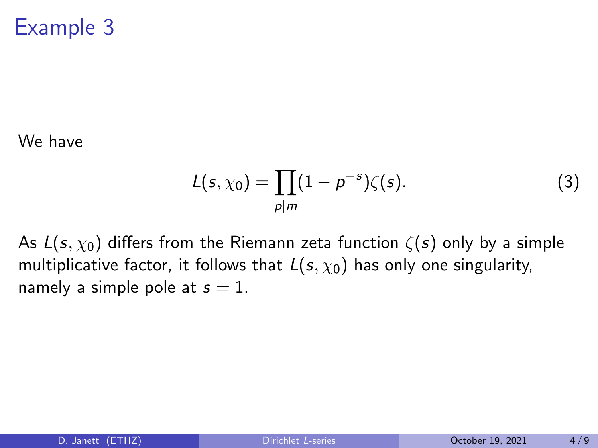# Example 3

We have

$$
L(s, \chi_0) = \prod_{p|m} (1 - p^{-s}) \zeta(s).
$$
 (3)

As  $L(s, \chi_0)$  differs from the Riemann zeta function  $\zeta(s)$  only by a simple multiplicative factor, it follows that  $L(s, \chi_0)$  has only one singularity, namely a simple pole at  $s = 1$ .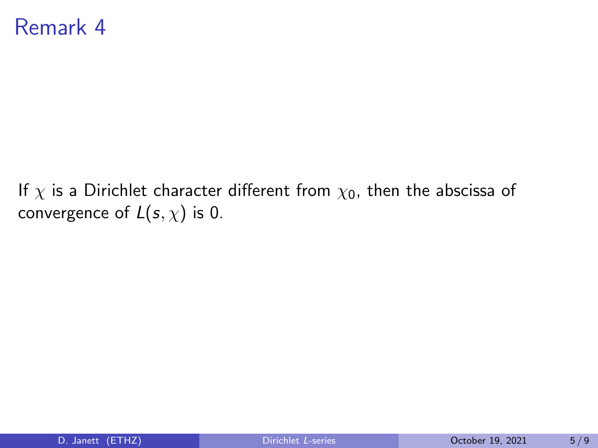### Remark 4

If  $\chi$  is a Dirichlet character different from  $\chi_0$ , then the abscissa of convergence of  $L(s, \chi)$  is 0.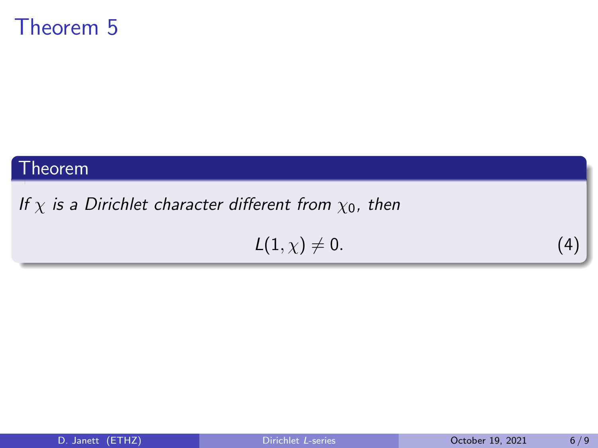## Theorem 5

#### Theorem

### If  $\chi$  is a Dirichlet character different from  $\chi_0$ , then

$$
L(1,\chi) \neq 0. \tag{4}
$$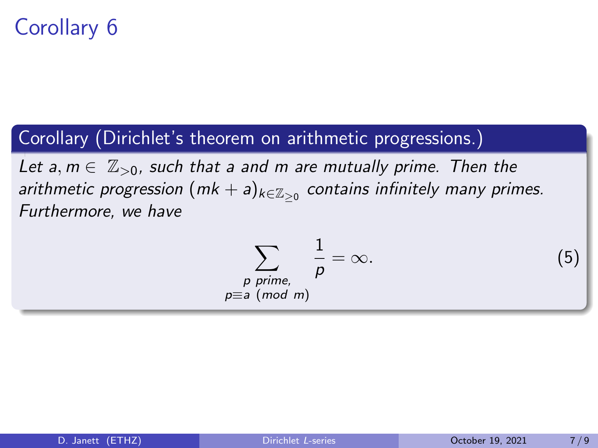# Corollary 6

### Corollary (Dirichlet's theorem on arithmetic progressions.)

 $p\equiv$ 

Let a,  $m \in \mathbb{Z}_{>0}$ , such that a and m are mutually prime. Then the arithmetic progression  $({\sf mk}+{\sf a})_{k\in\mathbb{Z}_{\geq 0}}$  contains infinitely many primes. Furthermore, we have

$$
\sum_{\substack{p \text{ prime}, \\ \text{in } a \pmod{m}}} \frac{1}{p} = \infty. \tag{5}
$$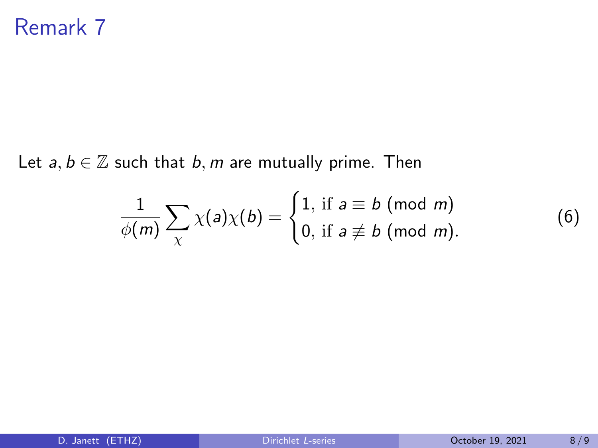Let  $a, b \in \mathbb{Z}$  such that  $b, m$  are mutually prime. Then

$$
\frac{1}{\phi(m)}\sum_{\chi}\chi(a)\overline{\chi}(b)=\begin{cases}1, \text{ if } a\equiv b\!\!\!\!\pmod m\\0, \text{ if } a\not\equiv b\!\!\!\!\pmod m.\end{cases}
$$

(6)